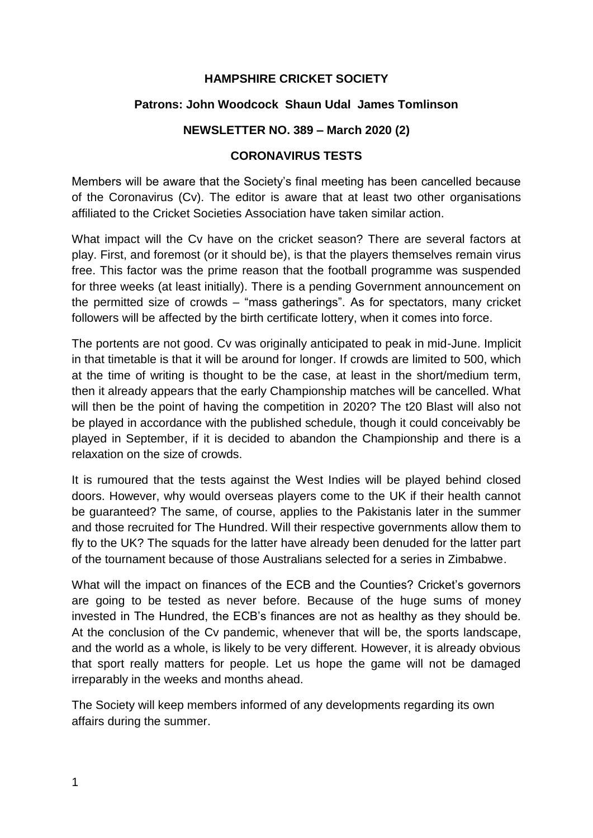### **HAMPSHIRE CRICKET SOCIETY**

### **Patrons: John Woodcock Shaun Udal James Tomlinson**

#### **NEWSLETTER NO. 389 – March 2020 (2)**

#### **CORONAVIRUS TESTS**

Members will be aware that the Society's final meeting has been cancelled because of the Coronavirus (Cv). The editor is aware that at least two other organisations affiliated to the Cricket Societies Association have taken similar action.

What impact will the Cv have on the cricket season? There are several factors at play. First, and foremost (or it should be), is that the players themselves remain virus free. This factor was the prime reason that the football programme was suspended for three weeks (at least initially). There is a pending Government announcement on the permitted size of crowds – "mass gatherings". As for spectators, many cricket followers will be affected by the birth certificate lottery, when it comes into force.

The portents are not good. Cv was originally anticipated to peak in mid-June. Implicit in that timetable is that it will be around for longer. If crowds are limited to 500, which at the time of writing is thought to be the case, at least in the short/medium term, then it already appears that the early Championship matches will be cancelled. What will then be the point of having the competition in 2020? The t20 Blast will also not be played in accordance with the published schedule, though it could conceivably be played in September, if it is decided to abandon the Championship and there is a relaxation on the size of crowds.

It is rumoured that the tests against the West Indies will be played behind closed doors. However, why would overseas players come to the UK if their health cannot be guaranteed? The same, of course, applies to the Pakistanis later in the summer and those recruited for The Hundred. Will their respective governments allow them to fly to the UK? The squads for the latter have already been denuded for the latter part of the tournament because of those Australians selected for a series in Zimbabwe.

What will the impact on finances of the ECB and the Counties? Cricket's governors are going to be tested as never before. Because of the huge sums of money invested in The Hundred, the ECB's finances are not as healthy as they should be. At the conclusion of the Cv pandemic, whenever that will be, the sports landscape, and the world as a whole, is likely to be very different. However, it is already obvious that sport really matters for people. Let us hope the game will not be damaged irreparably in the weeks and months ahead.

The Society will keep members informed of any developments regarding its own affairs during the summer.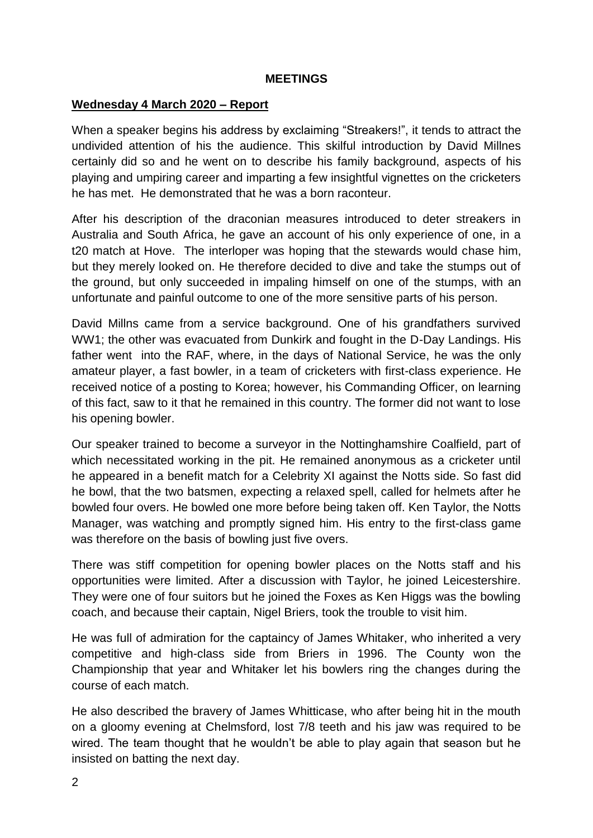### **MEETINGS**

### **Wednesday 4 March 2020 – Report**

When a speaker begins his address by exclaiming "Streakers!", it tends to attract the undivided attention of his the audience. This skilful introduction by David Millnes certainly did so and he went on to describe his family background, aspects of his playing and umpiring career and imparting a few insightful vignettes on the cricketers he has met. He demonstrated that he was a born raconteur.

After his description of the draconian measures introduced to deter streakers in Australia and South Africa, he gave an account of his only experience of one, in a t20 match at Hove. The interloper was hoping that the stewards would chase him, but they merely looked on. He therefore decided to dive and take the stumps out of the ground, but only succeeded in impaling himself on one of the stumps, with an unfortunate and painful outcome to one of the more sensitive parts of his person.

David Millns came from a service background. One of his grandfathers survived WW1; the other was evacuated from Dunkirk and fought in the D-Day Landings. His father went into the RAF, where, in the days of National Service, he was the only amateur player, a fast bowler, in a team of cricketers with first-class experience. He received notice of a posting to Korea; however, his Commanding Officer, on learning of this fact, saw to it that he remained in this country. The former did not want to lose his opening bowler.

Our speaker trained to become a surveyor in the Nottinghamshire Coalfield, part of which necessitated working in the pit. He remained anonymous as a cricketer until he appeared in a benefit match for a Celebrity XI against the Notts side. So fast did he bowl, that the two batsmen, expecting a relaxed spell, called for helmets after he bowled four overs. He bowled one more before being taken off. Ken Taylor, the Notts Manager, was watching and promptly signed him. His entry to the first-class game was therefore on the basis of bowling just five overs.

There was stiff competition for opening bowler places on the Notts staff and his opportunities were limited. After a discussion with Taylor, he joined Leicestershire. They were one of four suitors but he joined the Foxes as Ken Higgs was the bowling coach, and because their captain, Nigel Briers, took the trouble to visit him.

He was full of admiration for the captaincy of James Whitaker, who inherited a very competitive and high-class side from Briers in 1996. The County won the Championship that year and Whitaker let his bowlers ring the changes during the course of each match.

He also described the bravery of James Whitticase, who after being hit in the mouth on a gloomy evening at Chelmsford, lost 7/8 teeth and his jaw was required to be wired. The team thought that he wouldn't be able to play again that season but he insisted on batting the next day.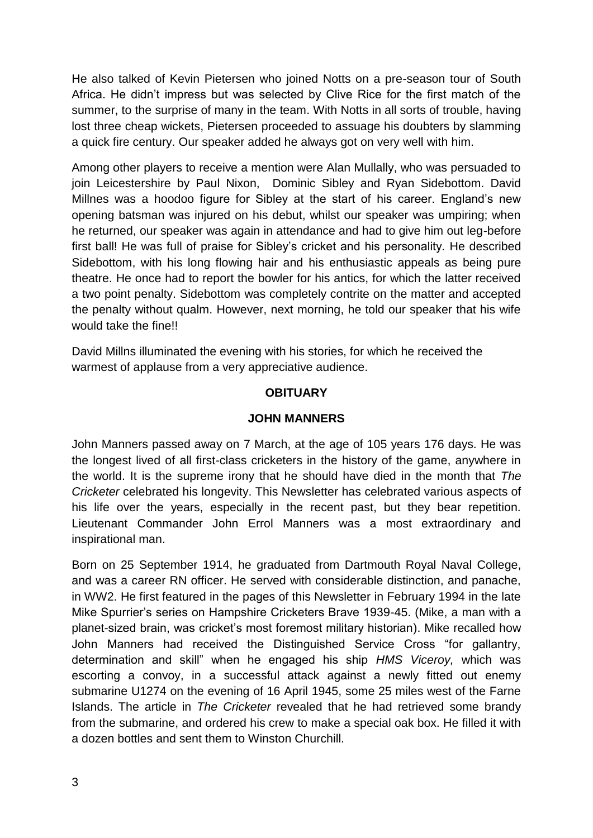He also talked of Kevin Pietersen who joined Notts on a pre-season tour of South Africa. He didn't impress but was selected by Clive Rice for the first match of the summer, to the surprise of many in the team. With Notts in all sorts of trouble, having lost three cheap wickets, Pietersen proceeded to assuage his doubters by slamming a quick fire century. Our speaker added he always got on very well with him.

Among other players to receive a mention were Alan Mullally, who was persuaded to join Leicestershire by Paul Nixon, Dominic Sibley and Ryan Sidebottom. David Millnes was a hoodoo figure for Sibley at the start of his career. England's new opening batsman was injured on his debut, whilst our speaker was umpiring; when he returned, our speaker was again in attendance and had to give him out leg-before first ball! He was full of praise for Sibley's cricket and his personality. He described Sidebottom, with his long flowing hair and his enthusiastic appeals as being pure theatre. He once had to report the bowler for his antics, for which the latter received a two point penalty. Sidebottom was completely contrite on the matter and accepted the penalty without qualm. However, next morning, he told our speaker that his wife would take the fine!!

David Millns illuminated the evening with his stories, for which he received the warmest of applause from a very appreciative audience.

# **OBITUARY**

#### **JOHN MANNERS**

John Manners passed away on 7 March, at the age of 105 years 176 days. He was the longest lived of all first-class cricketers in the history of the game, anywhere in the world. It is the supreme irony that he should have died in the month that *The Cricketer* celebrated his longevity. This Newsletter has celebrated various aspects of his life over the years, especially in the recent past, but they bear repetition. Lieutenant Commander John Errol Manners was a most extraordinary and inspirational man.

Born on 25 September 1914, he graduated from Dartmouth Royal Naval College, and was a career RN officer. He served with considerable distinction, and panache, in WW2. He first featured in the pages of this Newsletter in February 1994 in the late Mike Spurrier's series on Hampshire Cricketers Brave 1939-45. (Mike, a man with a planet-sized brain, was cricket's most foremost military historian). Mike recalled how John Manners had received the Distinguished Service Cross "for gallantry, determination and skill" when he engaged his ship *HMS Viceroy,* which was escorting a convoy, in a successful attack against a newly fitted out enemy submarine U1274 on the evening of 16 April 1945, some 25 miles west of the Farne Islands. The article in *The Cricketer* revealed that he had retrieved some brandy from the submarine, and ordered his crew to make a special oak box. He filled it with a dozen bottles and sent them to Winston Churchill.